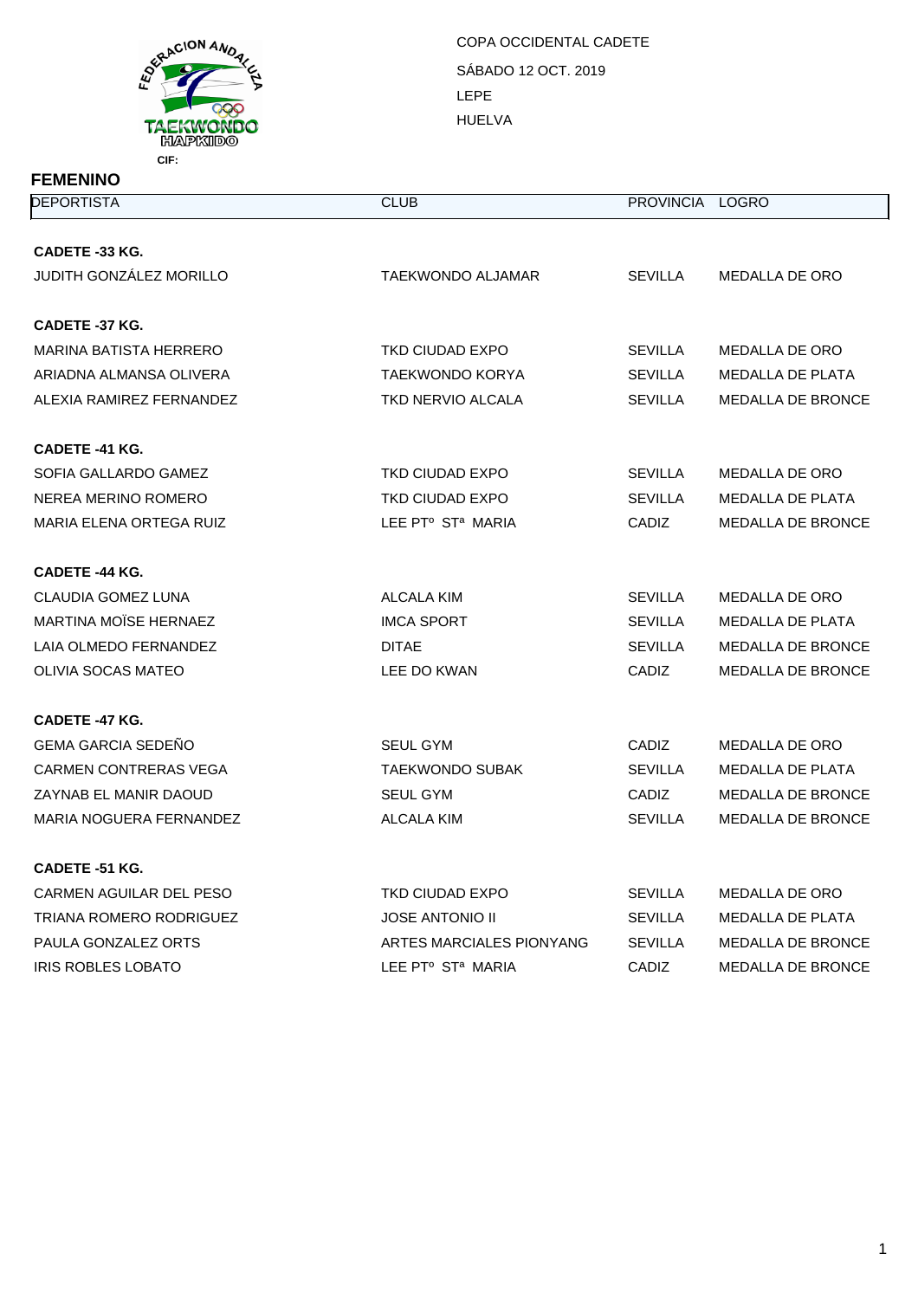

| <b>FEMENINO</b>                |                                           |                 |                          |
|--------------------------------|-------------------------------------------|-----------------|--------------------------|
| <b>DEPORTISTA</b>              | <b>CLUB</b>                               | PROVINCIA LOGRO |                          |
|                                |                                           |                 |                          |
| CADETE -33 KG.                 |                                           |                 |                          |
| <b>JUDITH GONZÁLEZ MORILLO</b> | TAEKWONDO ALJAMAR                         | <b>SEVILLA</b>  | MEDALLA DE ORO           |
| CADETE -37 KG.                 |                                           |                 |                          |
| <b>MARINA BATISTA HERRERO</b>  | <b>TKD CIUDAD EXPO</b>                    | <b>SEVILLA</b>  | MEDALLA DE ORO           |
| ARIADNA ALMANSA OLIVERA        | <b>TAEKWONDO KORYA</b>                    | <b>SEVILLA</b>  | MEDALLA DE PLATA         |
| ALEXIA RAMIREZ FERNANDEZ       | TKD NERVIO ALCALA                         | <b>SEVILLA</b>  | MEDALLA DE BRONCE        |
| CADETE -41 KG.                 |                                           |                 |                          |
| SOFIA GALLARDO GAMEZ           | TKD CIUDAD EXPO                           | <b>SEVILLA</b>  | <b>MEDALLA DE ORO</b>    |
| NEREA MERINO ROMERO            | TKD CIUDAD EXPO                           | <b>SEVILLA</b>  | <b>MEDALLA DE PLATA</b>  |
| <b>MARIA ELENA ORTEGA RUIZ</b> | LEE PTº ST <sup>a</sup> MARIA             | <b>CADIZ</b>    | MEDALLA DE BRONCE        |
| CADETE -44 KG.                 |                                           |                 |                          |
| CLAUDIA GOMEZ LUNA             | ALCALA KIM                                | <b>SEVILLA</b>  | MEDALLA DE ORO           |
| <b>MARTINA MOÏSE HERNAEZ</b>   | <b>IMCA SPORT</b>                         | <b>SEVILLA</b>  | MEDALLA DE PLATA         |
| LAIA OLMEDO FERNANDEZ          | <b>DITAE</b>                              | <b>SEVILLA</b>  | <b>MEDALLA DE BRONCE</b> |
| <b>OLIVIA SOCAS MATEO</b>      | LEE DO KWAN                               | <b>CADIZ</b>    | MEDALLA DE BRONCE        |
| CADETE -47 KG.                 |                                           |                 |                          |
| <b>GEMA GARCIA SEDENO</b>      | SEUL GYM                                  | CADIZ           | MEDALLA DE ORO           |
| CARMEN CONTRERAS VEGA          | <b>TAEKWONDO SUBAK</b>                    | <b>SEVILLA</b>  | <b>MEDALLA DE PLATA</b>  |
| ZAYNAB EL MANIR DAOUD          | <b>SEUL GYM</b>                           | <b>CADIZ</b>    | <b>MEDALLA DE BRONCE</b> |
| MARIA NOGUERA FERNANDEZ        | ALCALA KIM                                | <b>SEVILLA</b>  | MEDALLA DE BRONCE        |
| <b>CADETE -51 KG.</b>          |                                           |                 |                          |
| CARMEN AGUILAR DEL PESO        | TKD CIUDAD EXPO                           | <b>SEVILLA</b>  | MEDALLA DE ORO           |
| TRIANA ROMERO RODRIGUEZ        | <b>JOSE ANTONIO II</b>                    | <b>SEVILLA</b>  | MEDALLA DE PLATA         |
| PAULA GONZALEZ ORTS            | ARTES MARCIALES PIONYANG                  | <b>SEVILLA</b>  | <b>MEDALLA DE BRONCE</b> |
| <b>IRIS ROBLES LOBATO</b>      | LEE PT <sup>o</sup> ST <sup>a</sup> MARIA | CADIZ           | <b>MEDALLA DE BRONCE</b> |
|                                |                                           |                 |                          |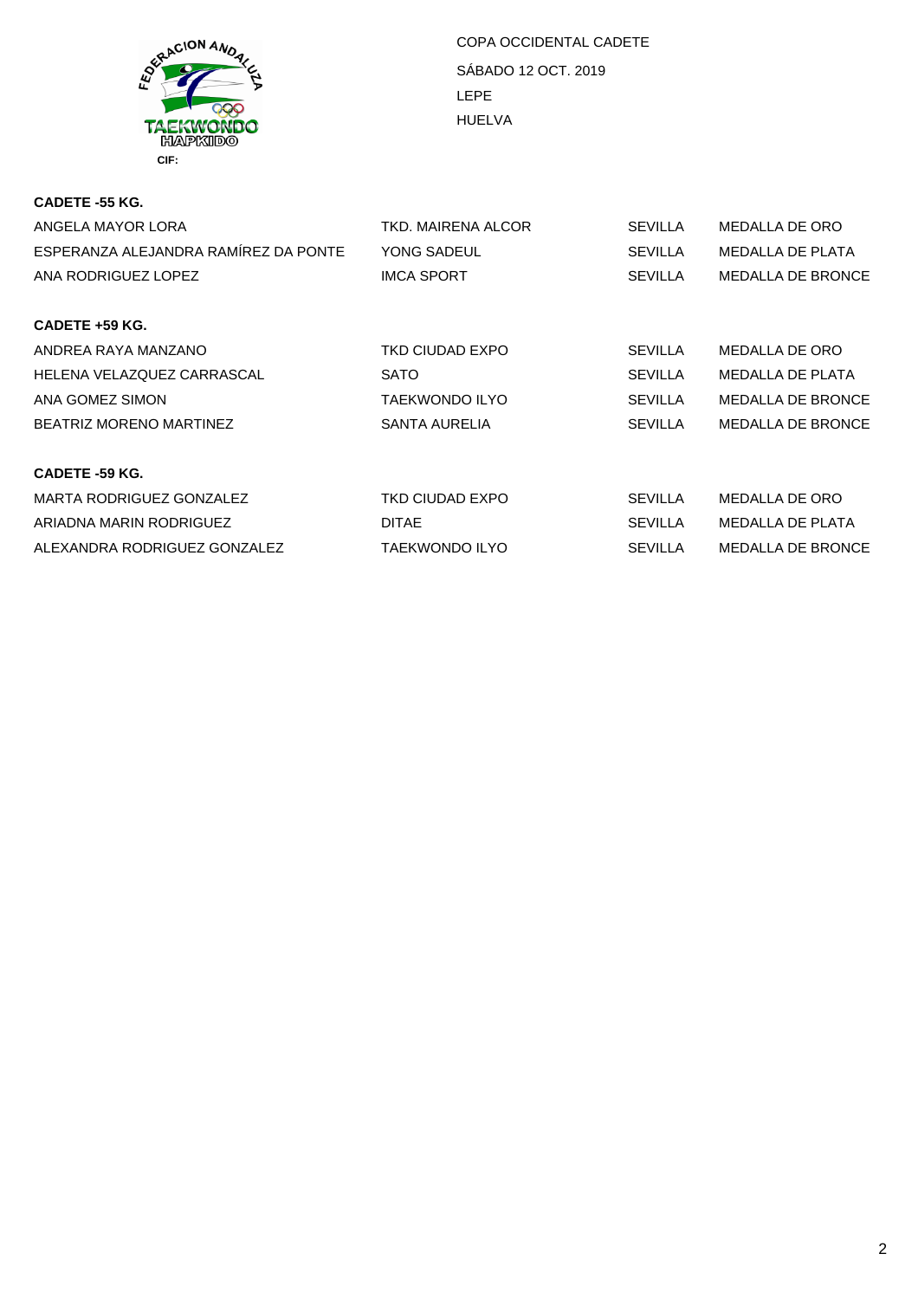

| CADETE -55 KG.                       |                       |                |                          |
|--------------------------------------|-----------------------|----------------|--------------------------|
| ANGELA MAYOR LORA                    | TKD. MAIRENA ALCOR    | <b>SEVILLA</b> | MEDALLA DE ORO           |
| ESPERANZA ALEJANDRA RAMÍREZ DA PONTE | YONG SADEUL           | <b>SEVILLA</b> | <b>MEDALLA DE PLATA</b>  |
| ANA RODRIGUEZ LOPEZ                  | <b>IMCA SPORT</b>     | <b>SEVILLA</b> | <b>MEDALLA DE BRONCE</b> |
| CADETE +59 KG.                       |                       |                |                          |
| ANDREA RAYA MANZANO                  | TKD CIUDAD EXPO       | <b>SEVILLA</b> | MEDALLA DE ORO           |
| HELENA VELAZQUEZ CARRASCAL           | <b>SATO</b>           | <b>SEVILLA</b> | <b>MEDALLA DE PLATA</b>  |
| ANA GOMEZ SIMON                      | <b>TAEKWONDO ILYO</b> | <b>SEVILLA</b> | <b>MEDALLA DE BRONCE</b> |
| <b>BEATRIZ MORENO MARTINEZ</b>       | SANTA AURELIA         | <b>SEVILLA</b> | <b>MEDALLA DE BRONCE</b> |
| <b>CADETE -59 KG.</b>                |                       |                |                          |
| MARTA RODRIGUEZ GONZALEZ             | TKD CIUDAD EXPO       | SEVILLA        | <b>MEDALLA DE ORO</b>    |
| ARIADNA MARIN RODRIGUEZ              | <b>DITAE</b>          | <b>SEVILLA</b> | <b>MEDALLA DE PLATA</b>  |
| ALEXANDRA RODRIGUEZ GONZALEZ         | <b>TAEKWONDO ILYO</b> | <b>SEVILLA</b> | <b>MEDALLA DE BRONCE</b> |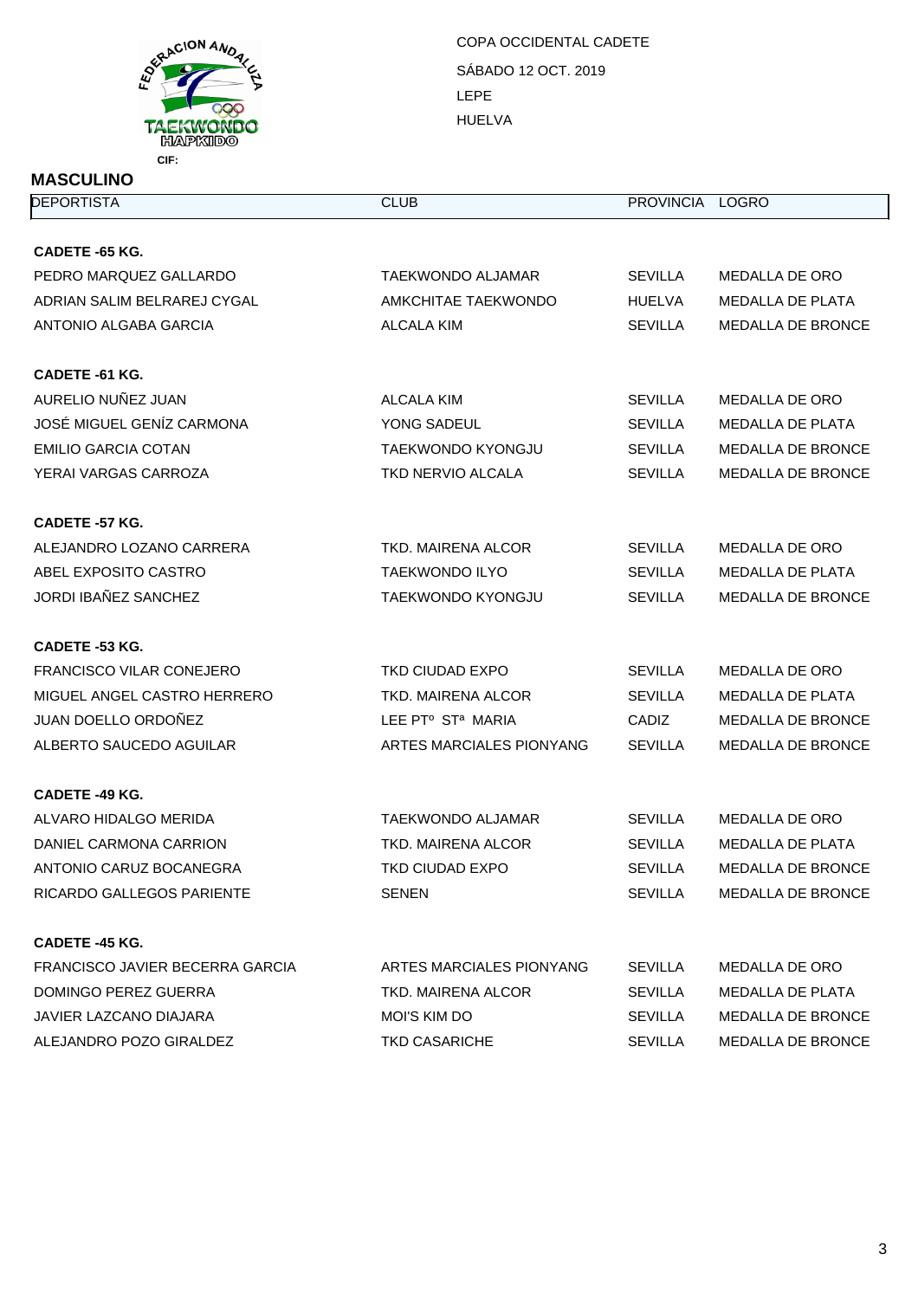

| <b>MASCULINO</b>                |                                           |                 |                          |  |
|---------------------------------|-------------------------------------------|-----------------|--------------------------|--|
| <b>DEPORTISTA</b>               | <b>CLUB</b>                               | PROVINCIA LOGRO |                          |  |
| <b>CADETE -65 KG.</b>           |                                           |                 |                          |  |
| PEDRO MARQUEZ GALLARDO          | TAEKWONDO ALJAMAR                         | <b>SEVILLA</b>  | MEDALLA DE ORO           |  |
| ADRIAN SALIM BELRAREJ CYGAL     | AMKCHITAE TAEKWONDO                       | <b>HUELVA</b>   | <b>MEDALLA DE PLATA</b>  |  |
| ANTONIO ALGABA GARCIA           | ALCALA KIM                                | <b>SEVILLA</b>  | <b>MEDALLA DE BRONCE</b> |  |
| CADETE -61 KG.                  |                                           |                 |                          |  |
| AURELIO NUÑEZ JUAN              | ALCALA KIM                                | <b>SEVILLA</b>  | MEDALLA DE ORO           |  |
| JOSÉ MIGUEL GENÍZ CARMONA       | YONG SADEUL                               | <b>SEVILLA</b>  | MEDALLA DE PLATA         |  |
| <b>EMILIO GARCIA COTAN</b>      | <b>TAEKWONDO KYONGJU</b>                  | <b>SEVILLA</b>  | <b>MEDALLA DE BRONCE</b> |  |
| YERAI VARGAS CARROZA            | <b>TKD NERVIO ALCALA</b>                  | <b>SEVILLA</b>  | MEDALLA DE BRONCE        |  |
| <b>CADETE -57 KG.</b>           |                                           |                 |                          |  |
| ALEJANDRO LOZANO CARRERA        | TKD. MAIRENA ALCOR                        | <b>SEVILLA</b>  | MEDALLA DE ORO           |  |
| ABEL EXPOSITO CASTRO            | <b>TAEKWONDO ILYO</b>                     | <b>SEVILLA</b>  | <b>MEDALLA DE PLATA</b>  |  |
| JORDI IBAÑEZ SANCHEZ            | <b>TAEKWONDO KYONGJU</b>                  | <b>SEVILLA</b>  | <b>MEDALLA DE BRONCE</b> |  |
| CADETE -53 KG.                  |                                           |                 |                          |  |
| FRANCISCO VILAR CONEJERO        | TKD CIUDAD EXPO                           | <b>SEVILLA</b>  | MEDALLA DE ORO           |  |
| MIGUEL ANGEL CASTRO HERRERO     | TKD. MAIRENA ALCOR                        | <b>SEVILLA</b>  | MEDALLA DE PLATA         |  |
| JUAN DOELLO ORDOÑEZ             | LEE PT <sup>o</sup> ST <sup>a</sup> MARIA | <b>CADIZ</b>    | <b>MEDALLA DE BRONCE</b> |  |
| ALBERTO SAUCEDO AGUILAR         | ARTES MARCIALES PIONYANG                  | <b>SEVILLA</b>  | MEDALLA DE BRONCE        |  |
| CADETE -49 KG.                  |                                           |                 |                          |  |
| ALVARO HIDALGO MERIDA           | <b>TAEKWONDO ALJAMAR</b>                  | <b>SEVILLA</b>  | <b>MEDALLA DE ORO</b>    |  |
| DANIEL CARMONA CARRION          | TKD. MAIRENA ALCOR                        | <b>SEVILLA</b>  | MEDALLA DE PLATA         |  |
| ANTONIO CARUZ BOCANEGRA         | TKD CIUDAD EXPO                           | <b>SEVILLA</b>  | <b>MEDALLA DE BRONCE</b> |  |
| RICARDO GALLEGOS PARIENTE       | <b>SENEN</b>                              | <b>SEVILLA</b>  | <b>MEDALLA DE BRONCE</b> |  |
| <b>CADETE -45 KG.</b>           |                                           |                 |                          |  |
| FRANCISCO JAVIER BECERRA GARCIA | ARTES MARCIALES PIONYANG                  | <b>SEVILLA</b>  | MEDALLA DE ORO           |  |
| DOMINGO PEREZ GUERRA            | TKD. MAIRENA ALCOR                        | <b>SEVILLA</b>  | MEDALLA DE PLATA         |  |
| JAVIER LAZCANO DIAJARA          | MOI'S KIM DO                              | <b>SEVILLA</b>  | <b>MEDALLA DE BRONCE</b> |  |
| ALEJANDRO POZO GIRALDEZ         | <b>TKD CASARICHE</b>                      | <b>SEVILLA</b>  | <b>MEDALLA DE BRONCE</b> |  |